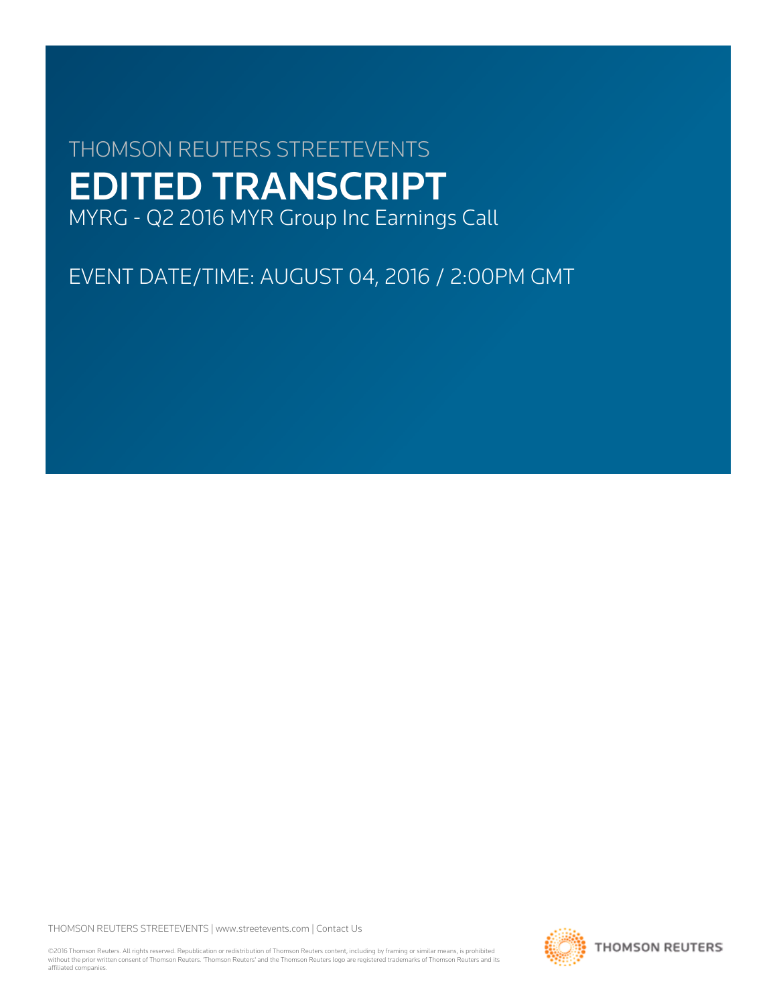# THOMSON REUTERS STREETEVENTS EDITED TRANSCRIPT MYRG - Q2 2016 MYR Group Inc Earnings Call

EVENT DATE/TIME: AUGUST 04, 2016 / 2:00PM GMT

THOMSON REUTERS STREETEVENTS | [www.streetevents.com](http://www.streetevents.com) | [Contact Us](http://www010.streetevents.com/contact.asp)

©2016 Thomson Reuters. All rights reserved. Republication or redistribution of Thomson Reuters content, including by framing or similar means, is prohibited without the prior written consent of Thomson Reuters. 'Thomson Reuters' and the Thomson Reuters logo are registered trademarks of Thomson Reuters and its affiliated companies.

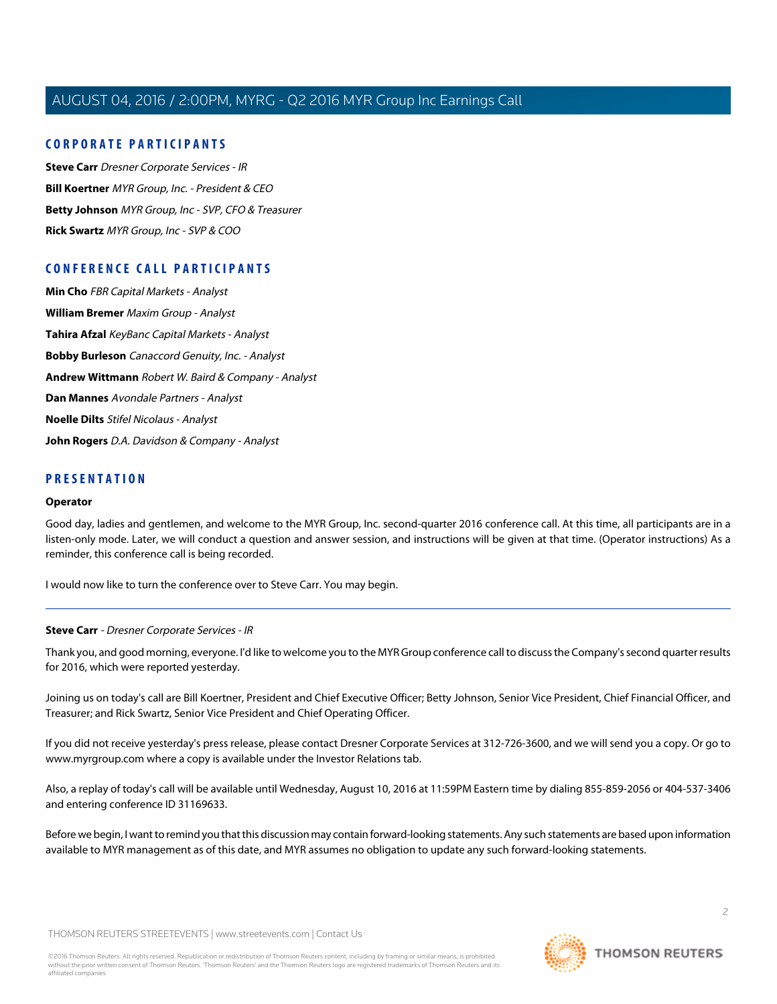# **CORPORATE PARTICIPANTS**

**[Steve Carr](#page-1-0)** Dresner Corporate Services - IR **[Bill Koertner](#page-2-0)** MYR Group, Inc. - President & CEO **[Betty Johnson](#page-3-0)** MYR Group, Inc - SVP, CFO & Treasurer **[Rick Swartz](#page-4-0)** MYR Group, Inc - SVP & COO

# **CONFERENCE CALL PARTICIPANTS**

**[Min Cho](#page-7-0)** FBR Capital Markets - Analyst **[William Bremer](#page-9-0)** Maxim Group - Analyst **[Tahira Afzal](#page-10-0)** KeyBanc Capital Markets - Analyst **[Bobby Burleson](#page-11-0)** Canaccord Genuity, Inc. - Analyst **[Andrew Wittmann](#page-13-0)** Robert W. Baird & Company - Analyst **[Dan Mannes](#page-14-0)** Avondale Partners - Analyst **[Noelle Dilts](#page-15-0)** Stifel Nicolaus - Analyst **[John Rogers](#page-16-0)** D.A. Davidson & Company - Analyst

# **PRESENTATION**

#### **Operator**

Good day, ladies and gentlemen, and welcome to the MYR Group, Inc. second-quarter 2016 conference call. At this time, all participants are in a listen-only mode. Later, we will conduct a question and answer session, and instructions will be given at that time. (Operator instructions) As a reminder, this conference call is being recorded.

<span id="page-1-0"></span>I would now like to turn the conference over to Steve Carr. You may begin.

#### **Steve Carr** - Dresner Corporate Services - IR

Thank you, and good morning, everyone. I'd like to welcome you to the MYR Group conference call to discuss the Company's second quarter results for 2016, which were reported yesterday.

Joining us on today's call are Bill Koertner, President and Chief Executive Officer; Betty Johnson, Senior Vice President, Chief Financial Officer, and Treasurer; and Rick Swartz, Senior Vice President and Chief Operating Officer.

If you did not receive yesterday's press release, please contact Dresner Corporate Services at 312-726-3600, and we will send you a copy. Or go to www.myrgroup.com where a copy is available under the Investor Relations tab.

Also, a replay of today's call will be available until Wednesday, August 10, 2016 at 11:59PM Eastern time by dialing 855-859-2056 or 404-537-3406 and entering conference ID 31169633.

Before we begin, I want to remind you that this discussion may contain forward-looking statements. Any such statements are based upon information available to MYR management as of this date, and MYR assumes no obligation to update any such forward-looking statements.

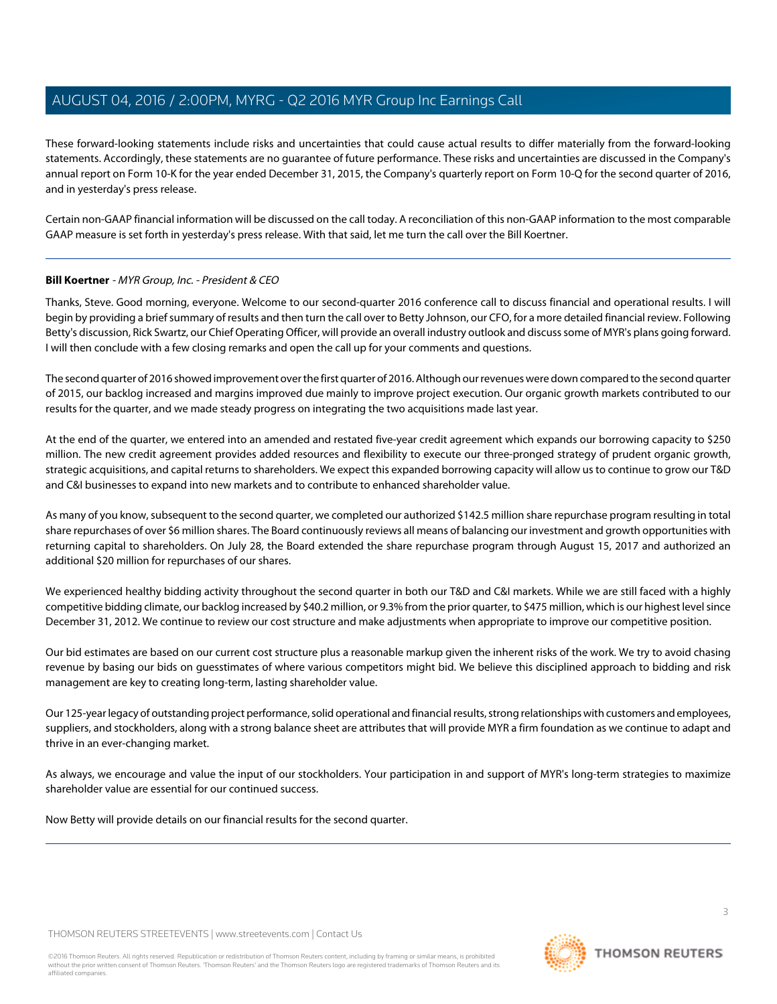These forward-looking statements include risks and uncertainties that could cause actual results to differ materially from the forward-looking statements. Accordingly, these statements are no guarantee of future performance. These risks and uncertainties are discussed in the Company's annual report on Form 10-K for the year ended December 31, 2015, the Company's quarterly report on Form 10-Q for the second quarter of 2016, and in yesterday's press release.

Certain non-GAAP financial information will be discussed on the call today. A reconciliation of this non-GAAP information to the most comparable GAAP measure is set forth in yesterday's press release. With that said, let me turn the call over the Bill Koertner.

# <span id="page-2-0"></span>**Bill Koertner** - MYR Group, Inc. - President & CEO

Thanks, Steve. Good morning, everyone. Welcome to our second-quarter 2016 conference call to discuss financial and operational results. I will begin by providing a brief summary of results and then turn the call over to Betty Johnson, our CFO, for a more detailed financial review. Following Betty's discussion, Rick Swartz, our Chief Operating Officer, will provide an overall industry outlook and discuss some of MYR's plans going forward. I will then conclude with a few closing remarks and open the call up for your comments and questions.

The second quarter of 2016 showed improvement over the first quarter of 2016. Although our revenues were down compared to the second quarter of 2015, our backlog increased and margins improved due mainly to improve project execution. Our organic growth markets contributed to our results for the quarter, and we made steady progress on integrating the two acquisitions made last year.

At the end of the quarter, we entered into an amended and restated five-year credit agreement which expands our borrowing capacity to \$250 million. The new credit agreement provides added resources and flexibility to execute our three-pronged strategy of prudent organic growth, strategic acquisitions, and capital returns to shareholders. We expect this expanded borrowing capacity will allow us to continue to grow our T&D and C&I businesses to expand into new markets and to contribute to enhanced shareholder value.

As many of you know, subsequent to the second quarter, we completed our authorized \$142.5 million share repurchase program resulting in total share repurchases of over \$6 million shares. The Board continuously reviews all means of balancing our investment and growth opportunities with returning capital to shareholders. On July 28, the Board extended the share repurchase program through August 15, 2017 and authorized an additional \$20 million for repurchases of our shares.

We experienced healthy bidding activity throughout the second quarter in both our T&D and C&I markets. While we are still faced with a highly competitive bidding climate, our backlog increased by \$40.2 million, or 9.3% from the prior quarter, to \$475 million, which is our highest level since December 31, 2012. We continue to review our cost structure and make adjustments when appropriate to improve our competitive position.

Our bid estimates are based on our current cost structure plus a reasonable markup given the inherent risks of the work. We try to avoid chasing revenue by basing our bids on guesstimates of where various competitors might bid. We believe this disciplined approach to bidding and risk management are key to creating long-term, lasting shareholder value.

Our 125-year legacy of outstanding project performance, solid operational and financial results, strong relationships with customers and employees, suppliers, and stockholders, along with a strong balance sheet are attributes that will provide MYR a firm foundation as we continue to adapt and thrive in an ever-changing market.

As always, we encourage and value the input of our stockholders. Your participation in and support of MYR's long-term strategies to maximize shareholder value are essential for our continued success.

Now Betty will provide details on our financial results for the second quarter.

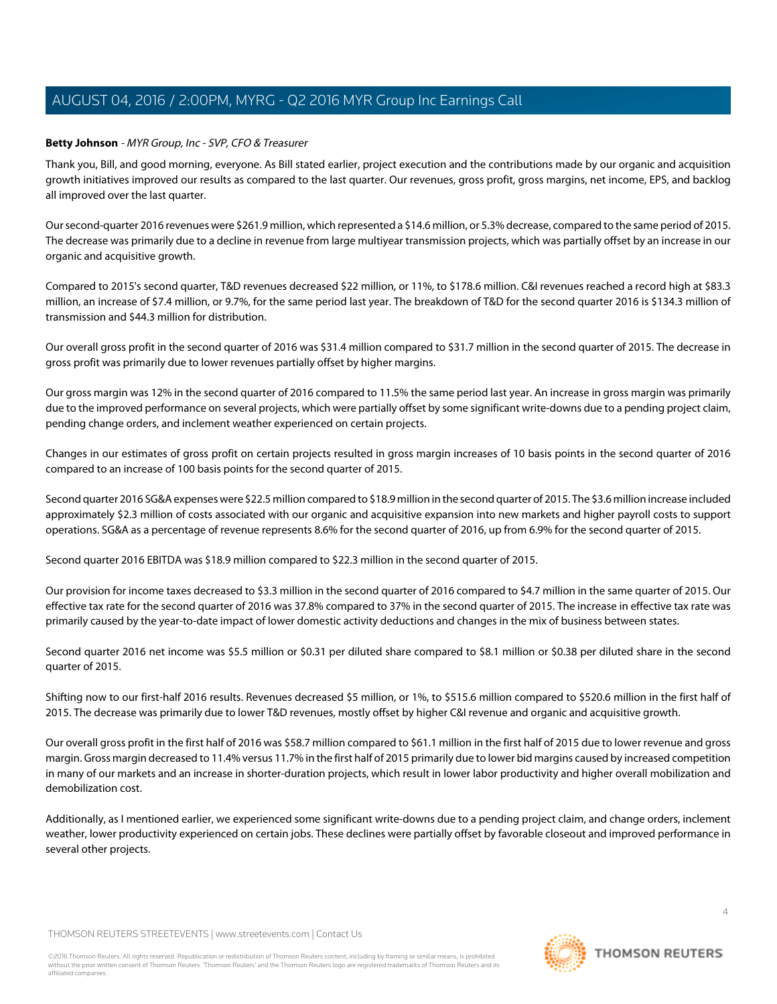# <span id="page-3-0"></span>**Betty Johnson** - MYR Group, Inc - SVP, CFO & Treasurer

Thank you, Bill, and good morning, everyone. As Bill stated earlier, project execution and the contributions made by our organic and acquisition growth initiatives improved our results as compared to the last quarter. Our revenues, gross profit, gross margins, net income, EPS, and backlog all improved over the last quarter.

Our second-quarter 2016 revenues were \$261.9 million, which represented a \$14.6 million, or 5.3% decrease, compared to the same period of 2015. The decrease was primarily due to a decline in revenue from large multiyear transmission projects, which was partially offset by an increase in our organic and acquisitive growth.

Compared to 2015's second quarter, T&D revenues decreased \$22 million, or 11%, to \$178.6 million. C&I revenues reached a record high at \$83.3 million, an increase of \$7.4 million, or 9.7%, for the same period last year. The breakdown of T&D for the second quarter 2016 is \$134.3 million of transmission and \$44.3 million for distribution.

Our overall gross profit in the second quarter of 2016 was \$31.4 million compared to \$31.7 million in the second quarter of 2015. The decrease in gross profit was primarily due to lower revenues partially offset by higher margins.

Our gross margin was 12% in the second quarter of 2016 compared to 11.5% the same period last year. An increase in gross margin was primarily due to the improved performance on several projects, which were partially offset by some significant write-downs due to a pending project claim, pending change orders, and inclement weather experienced on certain projects.

Changes in our estimates of gross profit on certain projects resulted in gross margin increases of 10 basis points in the second quarter of 2016 compared to an increase of 100 basis points for the second quarter of 2015.

Second quarter 2016 SG&A expenses were \$22.5 million compared to \$18.9 million in the second quarter of 2015. The \$3.6 million increase included approximately \$2.3 million of costs associated with our organic and acquisitive expansion into new markets and higher payroll costs to support operations. SG&A as a percentage of revenue represents 8.6% for the second quarter of 2016, up from 6.9% for the second quarter of 2015.

Second quarter 2016 EBITDA was \$18.9 million compared to \$22.3 million in the second quarter of 2015.

Our provision for income taxes decreased to \$3.3 million in the second quarter of 2016 compared to \$4.7 million in the same quarter of 2015. Our effective tax rate for the second quarter of 2016 was 37.8% compared to 37% in the second quarter of 2015. The increase in effective tax rate was primarily caused by the year-to-date impact of lower domestic activity deductions and changes in the mix of business between states.

Second quarter 2016 net income was \$5.5 million or \$0.31 per diluted share compared to \$8.1 million or \$0.38 per diluted share in the second quarter of 2015.

Shifting now to our first-half 2016 results. Revenues decreased \$5 million, or 1%, to \$515.6 million compared to \$520.6 million in the first half of 2015. The decrease was primarily due to lower T&D revenues, mostly offset by higher C&I revenue and organic and acquisitive growth.

Our overall gross profit in the first half of 2016 was \$58.7 million compared to \$61.1 million in the first half of 2015 due to lower revenue and gross margin. Gross margin decreased to 11.4% versus 11.7% in the first half of 2015 primarily due to lower bid margins caused by increased competition in many of our markets and an increase in shorter-duration projects, which result in lower labor productivity and higher overall mobilization and demobilization cost.

Additionally, as I mentioned earlier, we experienced some significant write-downs due to a pending project claim, and change orders, inclement weather, lower productivity experienced on certain jobs. These declines were partially offset by favorable closeout and improved performance in several other projects.

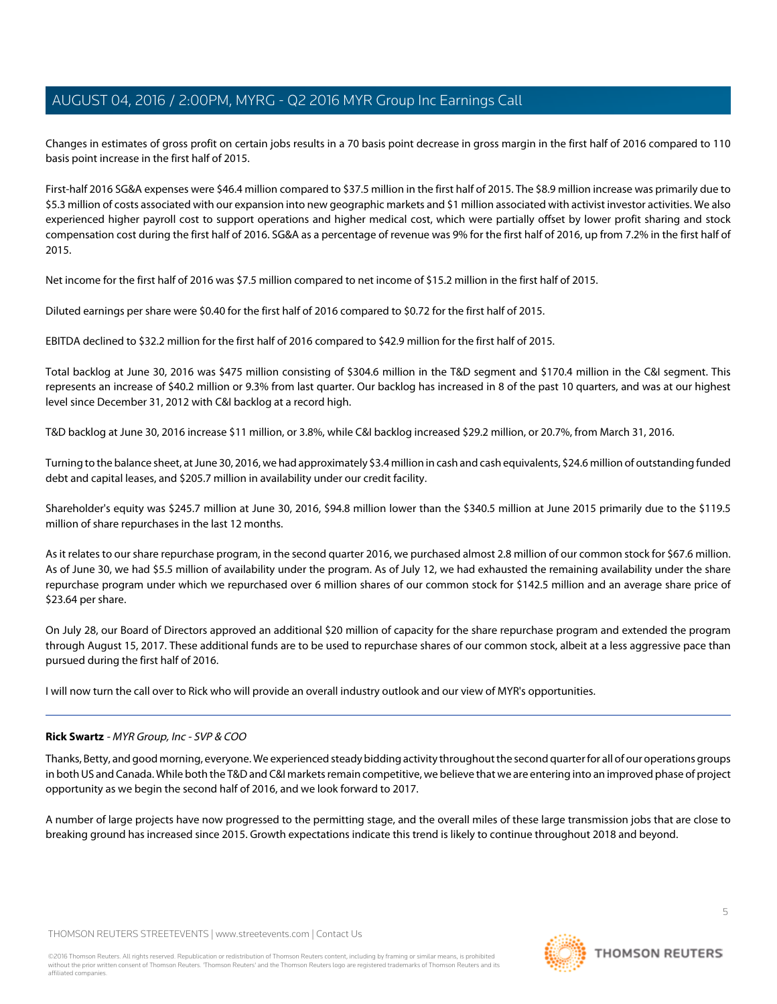Changes in estimates of gross profit on certain jobs results in a 70 basis point decrease in gross margin in the first half of 2016 compared to 110 basis point increase in the first half of 2015.

First-half 2016 SG&A expenses were \$46.4 million compared to \$37.5 million in the first half of 2015. The \$8.9 million increase was primarily due to \$5.3 million of costs associated with our expansion into new geographic markets and \$1 million associated with activist investor activities. We also experienced higher payroll cost to support operations and higher medical cost, which were partially offset by lower profit sharing and stock compensation cost during the first half of 2016. SG&A as a percentage of revenue was 9% for the first half of 2016, up from 7.2% in the first half of 2015.

Net income for the first half of 2016 was \$7.5 million compared to net income of \$15.2 million in the first half of 2015.

Diluted earnings per share were \$0.40 for the first half of 2016 compared to \$0.72 for the first half of 2015.

EBITDA declined to \$32.2 million for the first half of 2016 compared to \$42.9 million for the first half of 2015.

Total backlog at June 30, 2016 was \$475 million consisting of \$304.6 million in the T&D segment and \$170.4 million in the C&I segment. This represents an increase of \$40.2 million or 9.3% from last quarter. Our backlog has increased in 8 of the past 10 quarters, and was at our highest level since December 31, 2012 with C&I backlog at a record high.

T&D backlog at June 30, 2016 increase \$11 million, or 3.8%, while C&I backlog increased \$29.2 million, or 20.7%, from March 31, 2016.

Turning to the balance sheet, at June 30, 2016, we had approximately \$3.4 million in cash and cash equivalents, \$24.6 million of outstanding funded debt and capital leases, and \$205.7 million in availability under our credit facility.

Shareholder's equity was \$245.7 million at June 30, 2016, \$94.8 million lower than the \$340.5 million at June 2015 primarily due to the \$119.5 million of share repurchases in the last 12 months.

As it relates to our share repurchase program, in the second quarter 2016, we purchased almost 2.8 million of our common stock for \$67.6 million. As of June 30, we had \$5.5 million of availability under the program. As of July 12, we had exhausted the remaining availability under the share repurchase program under which we repurchased over 6 million shares of our common stock for \$142.5 million and an average share price of \$23.64 per share.

On July 28, our Board of Directors approved an additional \$20 million of capacity for the share repurchase program and extended the program through August 15, 2017. These additional funds are to be used to repurchase shares of our common stock, albeit at a less aggressive pace than pursued during the first half of 2016.

<span id="page-4-0"></span>I will now turn the call over to Rick who will provide an overall industry outlook and our view of MYR's opportunities.

# **Rick Swartz** - MYR Group, Inc - SVP & COO

Thanks, Betty, and good morning, everyone. We experienced steady bidding activity throughout the second quarter for all of our operations groups in both US and Canada. While both the T&D and C&I markets remain competitive, we believe that we are entering into an improved phase of project opportunity as we begin the second half of 2016, and we look forward to 2017.

A number of large projects have now progressed to the permitting stage, and the overall miles of these large transmission jobs that are close to breaking ground has increased since 2015. Growth expectations indicate this trend is likely to continue throughout 2018 and beyond.

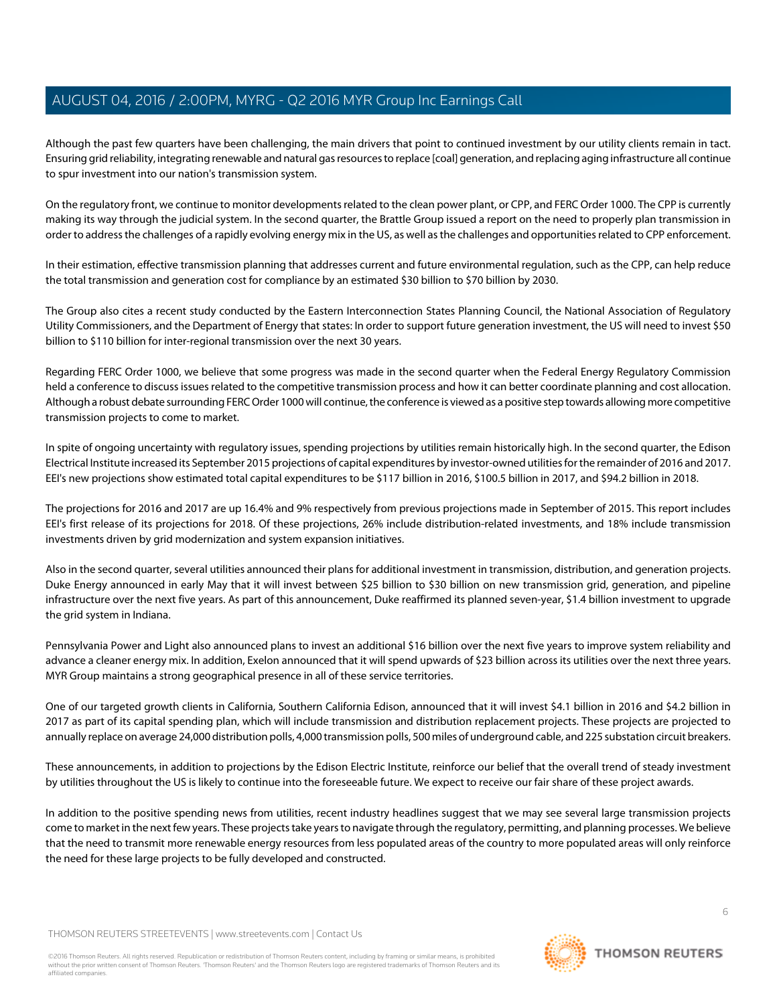Although the past few quarters have been challenging, the main drivers that point to continued investment by our utility clients remain in tact. Ensuring grid reliability, integrating renewable and natural gas resources to replace [coal] generation, and replacing aging infrastructure all continue to spur investment into our nation's transmission system.

On the regulatory front, we continue to monitor developments related to the clean power plant, or CPP, and FERC Order 1000. The CPP is currently making its way through the judicial system. In the second quarter, the Brattle Group issued a report on the need to properly plan transmission in order to address the challenges of a rapidly evolving energy mix in the US, as well as the challenges and opportunities related to CPP enforcement.

In their estimation, effective transmission planning that addresses current and future environmental regulation, such as the CPP, can help reduce the total transmission and generation cost for compliance by an estimated \$30 billion to \$70 billion by 2030.

The Group also cites a recent study conducted by the Eastern Interconnection States Planning Council, the National Association of Regulatory Utility Commissioners, and the Department of Energy that states: In order to support future generation investment, the US will need to invest \$50 billion to \$110 billion for inter-regional transmission over the next 30 years.

Regarding FERC Order 1000, we believe that some progress was made in the second quarter when the Federal Energy Regulatory Commission held a conference to discuss issues related to the competitive transmission process and how it can better coordinate planning and cost allocation. Although a robust debate surrounding FERC Order 1000 will continue, the conference is viewed as a positive step towards allowing more competitive transmission projects to come to market.

In spite of ongoing uncertainty with regulatory issues, spending projections by utilities remain historically high. In the second quarter, the Edison Electrical Institute increased its September 2015 projections of capital expenditures by investor-owned utilities for the remainder of 2016 and 2017. EEI's new projections show estimated total capital expenditures to be \$117 billion in 2016, \$100.5 billion in 2017, and \$94.2 billion in 2018.

The projections for 2016 and 2017 are up 16.4% and 9% respectively from previous projections made in September of 2015. This report includes EEI's first release of its projections for 2018. Of these projections, 26% include distribution-related investments, and 18% include transmission investments driven by grid modernization and system expansion initiatives.

Also in the second quarter, several utilities announced their plans for additional investment in transmission, distribution, and generation projects. Duke Energy announced in early May that it will invest between \$25 billion to \$30 billion on new transmission grid, generation, and pipeline infrastructure over the next five years. As part of this announcement, Duke reaffirmed its planned seven-year, \$1.4 billion investment to upgrade the grid system in Indiana.

Pennsylvania Power and Light also announced plans to invest an additional \$16 billion over the next five years to improve system reliability and advance a cleaner energy mix. In addition, Exelon announced that it will spend upwards of \$23 billion across its utilities over the next three years. MYR Group maintains a strong geographical presence in all of these service territories.

One of our targeted growth clients in California, Southern California Edison, announced that it will invest \$4.1 billion in 2016 and \$4.2 billion in 2017 as part of its capital spending plan, which will include transmission and distribution replacement projects. These projects are projected to annually replace on average 24,000 distribution polls, 4,000 transmission polls, 500 miles of underground cable, and 225 substation circuit breakers.

These announcements, in addition to projections by the Edison Electric Institute, reinforce our belief that the overall trend of steady investment by utilities throughout the US is likely to continue into the foreseeable future. We expect to receive our fair share of these project awards.

In addition to the positive spending news from utilities, recent industry headlines suggest that we may see several large transmission projects come to market in the next few years. These projects take years to navigate through the regulatory, permitting, and planning processes. We believe that the need to transmit more renewable energy resources from less populated areas of the country to more populated areas will only reinforce the need for these large projects to be fully developed and constructed.

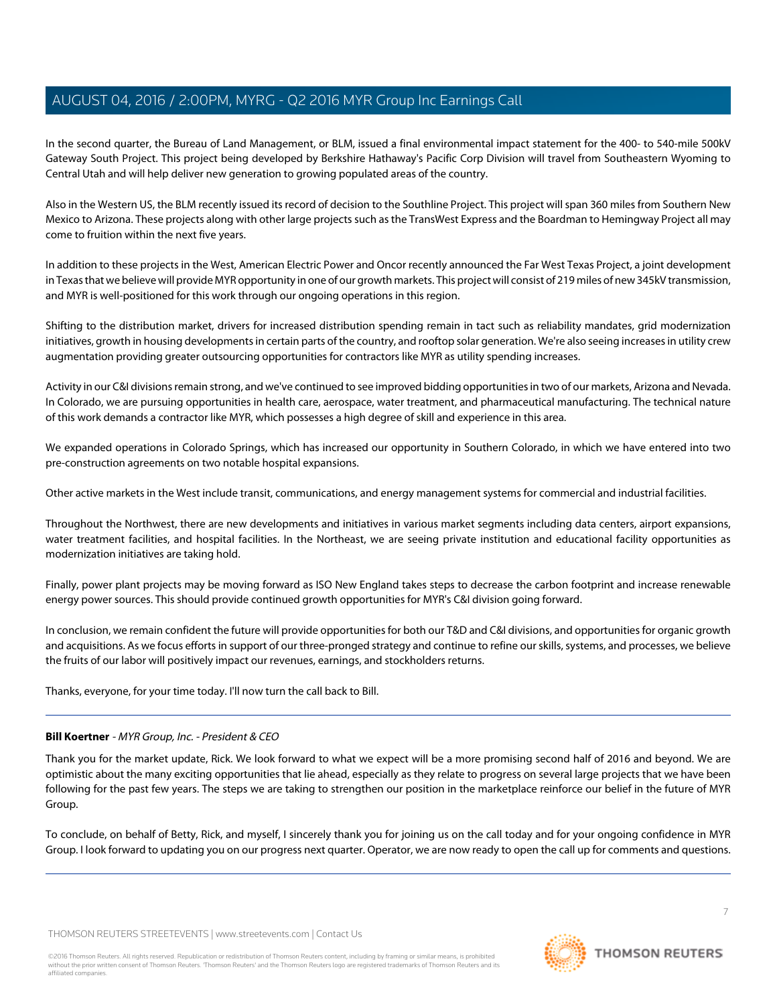In the second quarter, the Bureau of Land Management, or BLM, issued a final environmental impact statement for the 400- to 540-mile 500kV Gateway South Project. This project being developed by Berkshire Hathaway's Pacific Corp Division will travel from Southeastern Wyoming to Central Utah and will help deliver new generation to growing populated areas of the country.

Also in the Western US, the BLM recently issued its record of decision to the Southline Project. This project will span 360 miles from Southern New Mexico to Arizona. These projects along with other large projects such as the TransWest Express and the Boardman to Hemingway Project all may come to fruition within the next five years.

In addition to these projects in the West, American Electric Power and Oncor recently announced the Far West Texas Project, a joint development in Texas that we believe will provide MYR opportunity in one of our growth markets. This project will consist of 219 miles of new 345kV transmission, and MYR is well-positioned for this work through our ongoing operations in this region.

Shifting to the distribution market, drivers for increased distribution spending remain in tact such as reliability mandates, grid modernization initiatives, growth in housing developments in certain parts of the country, and rooftop solar generation. We're also seeing increases in utility crew augmentation providing greater outsourcing opportunities for contractors like MYR as utility spending increases.

Activity in our C&I divisions remain strong, and we've continued to see improved bidding opportunities in two of our markets, Arizona and Nevada. In Colorado, we are pursuing opportunities in health care, aerospace, water treatment, and pharmaceutical manufacturing. The technical nature of this work demands a contractor like MYR, which possesses a high degree of skill and experience in this area.

We expanded operations in Colorado Springs, which has increased our opportunity in Southern Colorado, in which we have entered into two pre-construction agreements on two notable hospital expansions.

Other active markets in the West include transit, communications, and energy management systems for commercial and industrial facilities.

Throughout the Northwest, there are new developments and initiatives in various market segments including data centers, airport expansions, water treatment facilities, and hospital facilities. In the Northeast, we are seeing private institution and educational facility opportunities as modernization initiatives are taking hold.

Finally, power plant projects may be moving forward as ISO New England takes steps to decrease the carbon footprint and increase renewable energy power sources. This should provide continued growth opportunities for MYR's C&I division going forward.

In conclusion, we remain confident the future will provide opportunities for both our T&D and C&I divisions, and opportunities for organic growth and acquisitions. As we focus efforts in support of our three-pronged strategy and continue to refine our skills, systems, and processes, we believe the fruits of our labor will positively impact our revenues, earnings, and stockholders returns.

Thanks, everyone, for your time today. I'll now turn the call back to Bill.

# **Bill Koertner** - MYR Group, Inc. - President & CEO

Thank you for the market update, Rick. We look forward to what we expect will be a more promising second half of 2016 and beyond. We are optimistic about the many exciting opportunities that lie ahead, especially as they relate to progress on several large projects that we have been following for the past few years. The steps we are taking to strengthen our position in the marketplace reinforce our belief in the future of MYR Group.

To conclude, on behalf of Betty, Rick, and myself, I sincerely thank you for joining us on the call today and for your ongoing confidence in MYR Group. I look forward to updating you on our progress next quarter. Operator, we are now ready to open the call up for comments and questions.

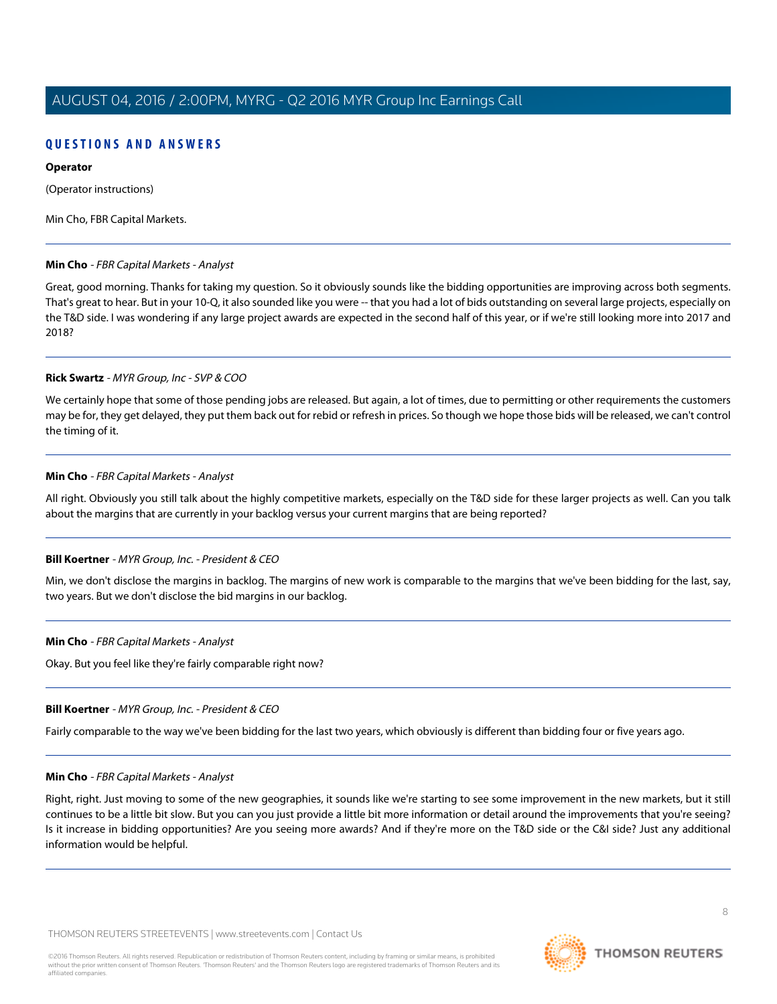# **QUESTIONS AND ANSWERS**

### **Operator**

(Operator instructions)

<span id="page-7-0"></span>Min Cho, FBR Capital Markets.

# **Min Cho** - FBR Capital Markets - Analyst

Great, good morning. Thanks for taking my question. So it obviously sounds like the bidding opportunities are improving across both segments. That's great to hear. But in your 10-Q, it also sounded like you were -- that you had a lot of bids outstanding on several large projects, especially on the T&D side. I was wondering if any large project awards are expected in the second half of this year, or if we're still looking more into 2017 and 2018?

#### **Rick Swartz** - MYR Group, Inc - SVP & COO

We certainly hope that some of those pending jobs are released. But again, a lot of times, due to permitting or other requirements the customers may be for, they get delayed, they put them back out for rebid or refresh in prices. So though we hope those bids will be released, we can't control the timing of it.

# **Min Cho** - FBR Capital Markets - Analyst

All right. Obviously you still talk about the highly competitive markets, especially on the T&D side for these larger projects as well. Can you talk about the margins that are currently in your backlog versus your current margins that are being reported?

# **Bill Koertner** - MYR Group, Inc. - President & CEO

Min, we don't disclose the margins in backlog. The margins of new work is comparable to the margins that we've been bidding for the last, say, two years. But we don't disclose the bid margins in our backlog.

# **Min Cho** - FBR Capital Markets - Analyst

Okay. But you feel like they're fairly comparable right now?

# **Bill Koertner** - MYR Group, Inc. - President & CEO

Fairly comparable to the way we've been bidding for the last two years, which obviously is different than bidding four or five years ago.

#### **Min Cho** - FBR Capital Markets - Analyst

Right, right. Just moving to some of the new geographies, it sounds like we're starting to see some improvement in the new markets, but it still continues to be a little bit slow. But you can you just provide a little bit more information or detail around the improvements that you're seeing? Is it increase in bidding opportunities? Are you seeing more awards? And if they're more on the T&D side or the C&I side? Just any additional information would be helpful.

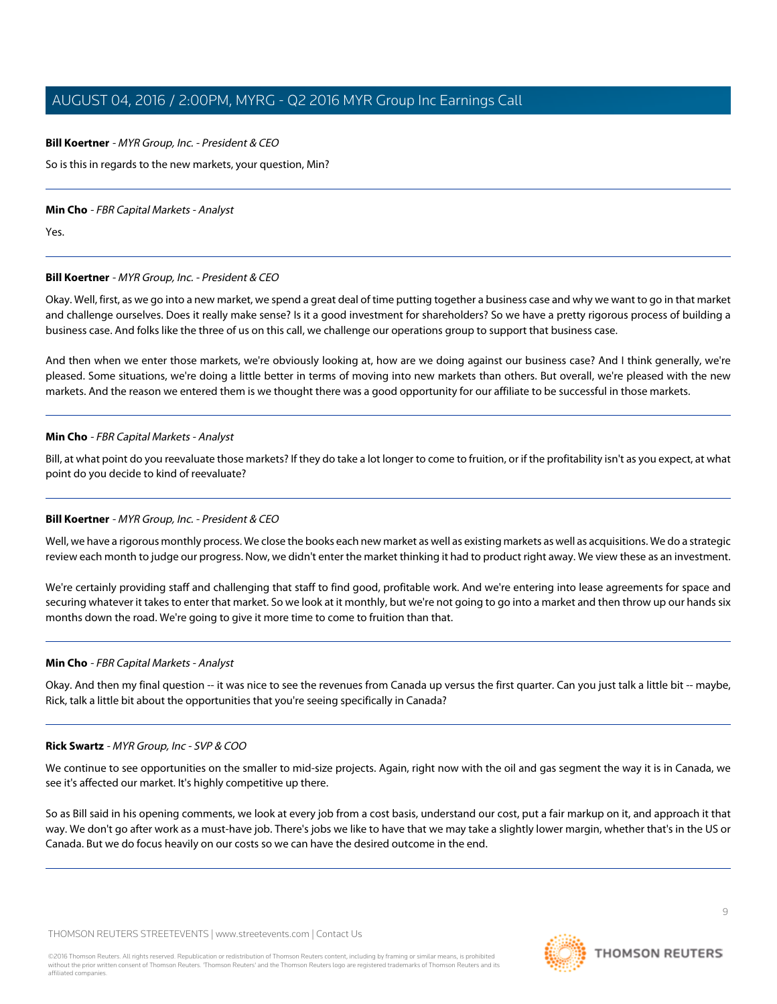#### **Bill Koertner** - MYR Group, Inc. - President & CEO

So is this in regards to the new markets, your question, Min?

#### **Min Cho** - FBR Capital Markets - Analyst

Yes.

#### **Bill Koertner** - MYR Group, Inc. - President & CEO

Okay. Well, first, as we go into a new market, we spend a great deal of time putting together a business case and why we want to go in that market and challenge ourselves. Does it really make sense? Is it a good investment for shareholders? So we have a pretty rigorous process of building a business case. And folks like the three of us on this call, we challenge our operations group to support that business case.

And then when we enter those markets, we're obviously looking at, how are we doing against our business case? And I think generally, we're pleased. Some situations, we're doing a little better in terms of moving into new markets than others. But overall, we're pleased with the new markets. And the reason we entered them is we thought there was a good opportunity for our affiliate to be successful in those markets.

#### **Min Cho** - FBR Capital Markets - Analyst

Bill, at what point do you reevaluate those markets? If they do take a lot longer to come to fruition, or if the profitability isn't as you expect, at what point do you decide to kind of reevaluate?

#### **Bill Koertner** - MYR Group, Inc. - President & CEO

Well, we have a rigorous monthly process. We close the books each new market as well as existing markets as well as acquisitions. We do a strategic review each month to judge our progress. Now, we didn't enter the market thinking it had to product right away. We view these as an investment.

We're certainly providing staff and challenging that staff to find good, profitable work. And we're entering into lease agreements for space and securing whatever it takes to enter that market. So we look at it monthly, but we're not going to go into a market and then throw up our hands six months down the road. We're going to give it more time to come to fruition than that.

#### **Min Cho** - FBR Capital Markets - Analyst

Okay. And then my final question -- it was nice to see the revenues from Canada up versus the first quarter. Can you just talk a little bit -- maybe, Rick, talk a little bit about the opportunities that you're seeing specifically in Canada?

#### **Rick Swartz** - MYR Group, Inc - SVP & COO

We continue to see opportunities on the smaller to mid-size projects. Again, right now with the oil and gas segment the way it is in Canada, we see it's affected our market. It's highly competitive up there.

So as Bill said in his opening comments, we look at every job from a cost basis, understand our cost, put a fair markup on it, and approach it that way. We don't go after work as a must-have job. There's jobs we like to have that we may take a slightly lower margin, whether that's in the US or Canada. But we do focus heavily on our costs so we can have the desired outcome in the end.

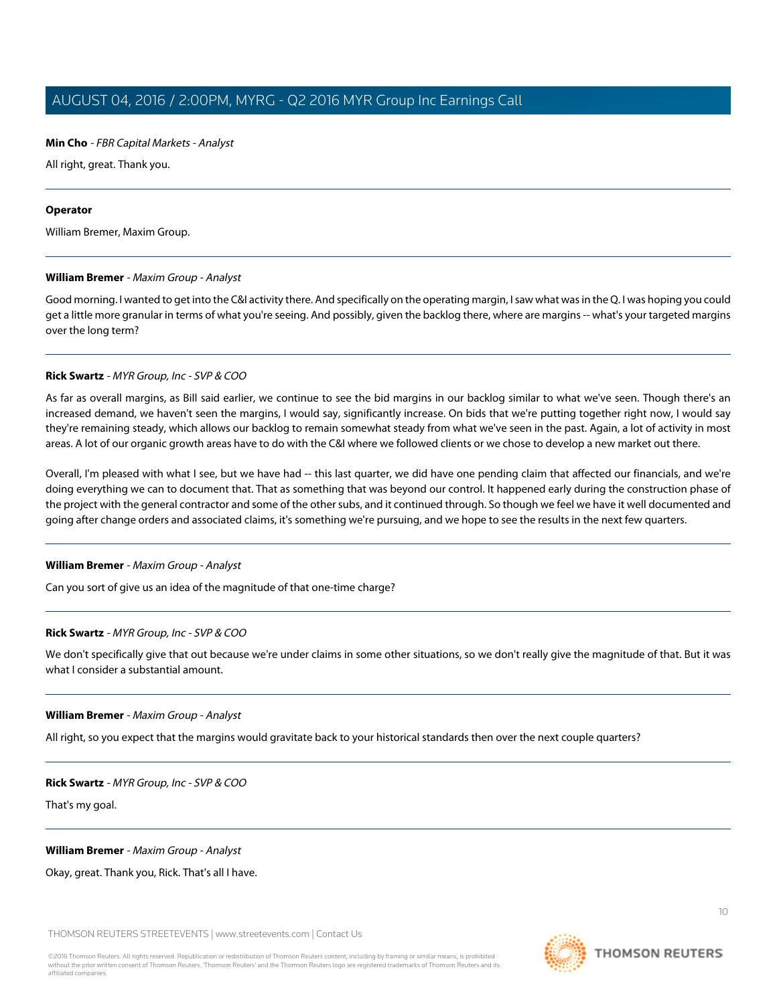### **Min Cho** - FBR Capital Markets - Analyst

All right, great. Thank you.

#### **Operator**

<span id="page-9-0"></span>William Bremer, Maxim Group.

#### **William Bremer** - Maxim Group - Analyst

Good morning. I wanted to get into the C&I activity there. And specifically on the operating margin, I saw what was in the Q. I was hoping you could get a little more granular in terms of what you're seeing. And possibly, given the backlog there, where are margins -- what's your targeted margins over the long term?

#### **Rick Swartz** - MYR Group, Inc - SVP & COO

As far as overall margins, as Bill said earlier, we continue to see the bid margins in our backlog similar to what we've seen. Though there's an increased demand, we haven't seen the margins, I would say, significantly increase. On bids that we're putting together right now, I would say they're remaining steady, which allows our backlog to remain somewhat steady from what we've seen in the past. Again, a lot of activity in most areas. A lot of our organic growth areas have to do with the C&I where we followed clients or we chose to develop a new market out there.

Overall, I'm pleased with what I see, but we have had -- this last quarter, we did have one pending claim that affected our financials, and we're doing everything we can to document that. That as something that was beyond our control. It happened early during the construction phase of the project with the general contractor and some of the other subs, and it continued through. So though we feel we have it well documented and going after change orders and associated claims, it's something we're pursuing, and we hope to see the results in the next few quarters.

#### **William Bremer** - Maxim Group - Analyst

Can you sort of give us an idea of the magnitude of that one-time charge?

#### **Rick Swartz** - MYR Group, Inc - SVP & COO

We don't specifically give that out because we're under claims in some other situations, so we don't really give the magnitude of that. But it was what I consider a substantial amount.

#### **William Bremer** - Maxim Group - Analyst

All right, so you expect that the margins would gravitate back to your historical standards then over the next couple quarters?

#### **Rick Swartz** - MYR Group, Inc - SVP & COO

That's my goal.

#### **William Bremer** - Maxim Group - Analyst

Okay, great. Thank you, Rick. That's all I have.

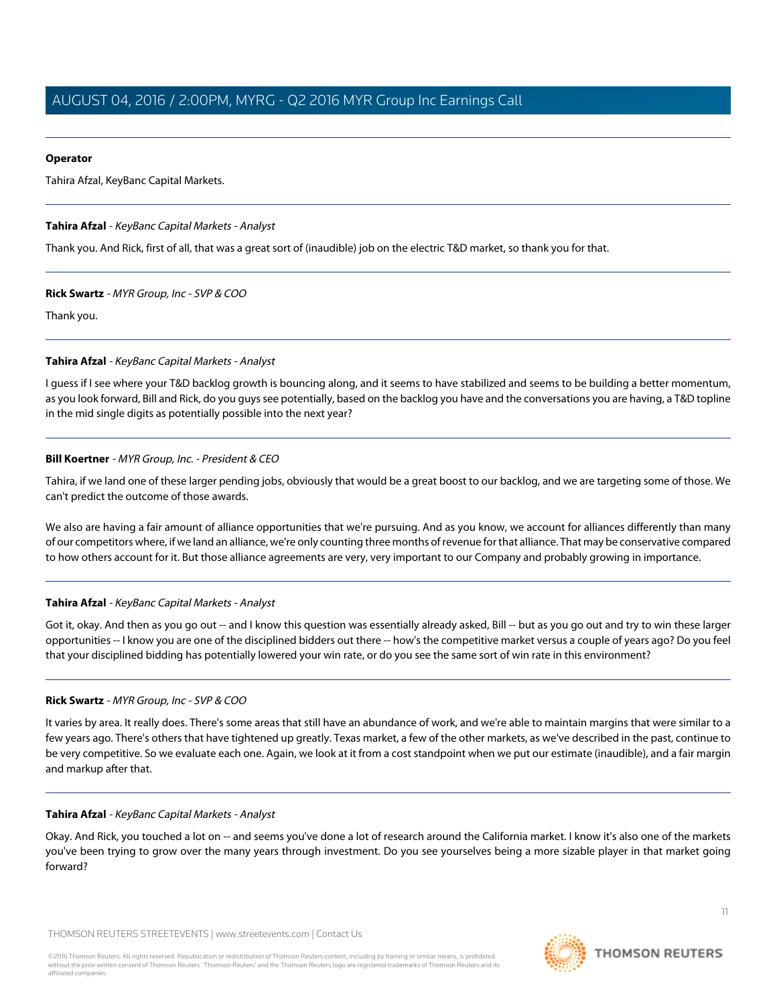# **Operator**

Tahira Afzal, KeyBanc Capital Markets.

# <span id="page-10-0"></span>**Tahira Afzal** - KeyBanc Capital Markets - Analyst

Thank you. And Rick, first of all, that was a great sort of (inaudible) job on the electric T&D market, so thank you for that.

# **Rick Swartz** - MYR Group, Inc - SVP & COO

Thank you.

# **Tahira Afzal** - KeyBanc Capital Markets - Analyst

I guess if I see where your T&D backlog growth is bouncing along, and it seems to have stabilized and seems to be building a better momentum, as you look forward, Bill and Rick, do you guys see potentially, based on the backlog you have and the conversations you are having, a T&D topline in the mid single digits as potentially possible into the next year?

# **Bill Koertner** - MYR Group, Inc. - President & CEO

Tahira, if we land one of these larger pending jobs, obviously that would be a great boost to our backlog, and we are targeting some of those. We can't predict the outcome of those awards.

We also are having a fair amount of alliance opportunities that we're pursuing. And as you know, we account for alliances differently than many of our competitors where, if we land an alliance, we're only counting three months of revenue for that alliance. That may be conservative compared to how others account for it. But those alliance agreements are very, very important to our Company and probably growing in importance.

# **Tahira Afzal** - KeyBanc Capital Markets - Analyst

Got it, okay. And then as you go out -- and I know this question was essentially already asked, Bill -- but as you go out and try to win these larger opportunities -- I know you are one of the disciplined bidders out there -- how's the competitive market versus a couple of years ago? Do you feel that your disciplined bidding has potentially lowered your win rate, or do you see the same sort of win rate in this environment?

# **Rick Swartz** - MYR Group, Inc - SVP & COO

It varies by area. It really does. There's some areas that still have an abundance of work, and we're able to maintain margins that were similar to a few years ago. There's others that have tightened up greatly. Texas market, a few of the other markets, as we've described in the past, continue to be very competitive. So we evaluate each one. Again, we look at it from a cost standpoint when we put our estimate (inaudible), and a fair margin and markup after that.

# **Tahira Afzal** - KeyBanc Capital Markets - Analyst

Okay. And Rick, you touched a lot on -- and seems you've done a lot of research around the California market. I know it's also one of the markets you've been trying to grow over the many years through investment. Do you see yourselves being a more sizable player in that market going forward?

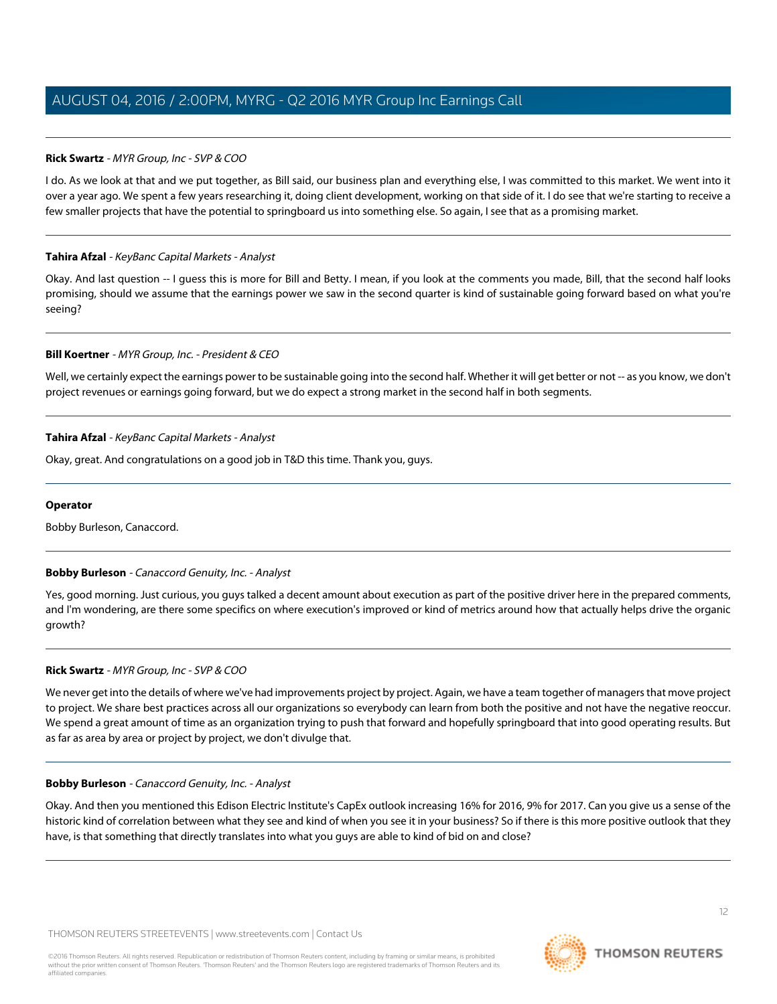# **Rick Swartz** - MYR Group, Inc - SVP & COO

I do. As we look at that and we put together, as Bill said, our business plan and everything else, I was committed to this market. We went into it over a year ago. We spent a few years researching it, doing client development, working on that side of it. I do see that we're starting to receive a few smaller projects that have the potential to springboard us into something else. So again, I see that as a promising market.

# **Tahira Afzal** - KeyBanc Capital Markets - Analyst

Okay. And last question -- I guess this is more for Bill and Betty. I mean, if you look at the comments you made, Bill, that the second half looks promising, should we assume that the earnings power we saw in the second quarter is kind of sustainable going forward based on what you're seeing?

# **Bill Koertner** - MYR Group, Inc. - President & CEO

Well, we certainly expect the earnings power to be sustainable going into the second half. Whether it will get better or not -- as you know, we don't project revenues or earnings going forward, but we do expect a strong market in the second half in both segments.

# **Tahira Afzal** - KeyBanc Capital Markets - Analyst

Okay, great. And congratulations on a good job in T&D this time. Thank you, guys.

### <span id="page-11-0"></span>**Operator**

Bobby Burleson, Canaccord.

# **Bobby Burleson** - Canaccord Genuity, Inc. - Analyst

Yes, good morning. Just curious, you guys talked a decent amount about execution as part of the positive driver here in the prepared comments, and I'm wondering, are there some specifics on where execution's improved or kind of metrics around how that actually helps drive the organic growth?

# **Rick Swartz** - MYR Group, Inc - SVP & COO

We never get into the details of where we've had improvements project by project. Again, we have a team together of managers that move project to project. We share best practices across all our organizations so everybody can learn from both the positive and not have the negative reoccur. We spend a great amount of time as an organization trying to push that forward and hopefully springboard that into good operating results. But as far as area by area or project by project, we don't divulge that.

# **Bobby Burleson** - Canaccord Genuity, Inc. - Analyst

Okay. And then you mentioned this Edison Electric Institute's CapEx outlook increasing 16% for 2016, 9% for 2017. Can you give us a sense of the historic kind of correlation between what they see and kind of when you see it in your business? So if there is this more positive outlook that they have, is that something that directly translates into what you guys are able to kind of bid on and close?

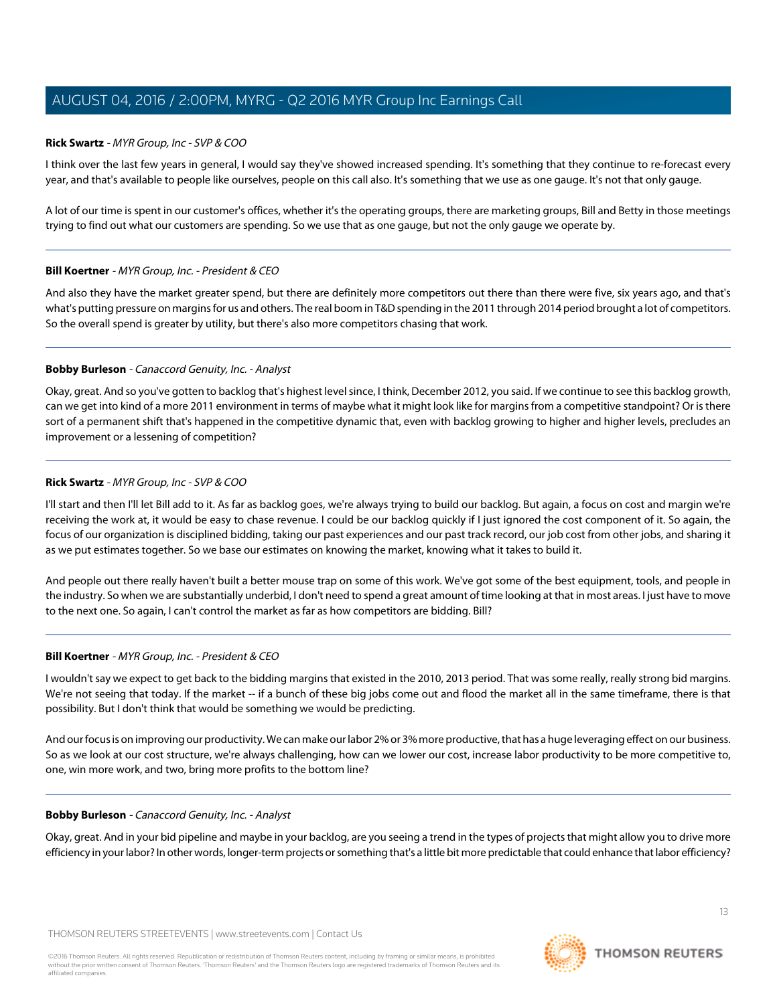#### **Rick Swartz** - MYR Group, Inc - SVP & COO

I think over the last few years in general, I would say they've showed increased spending. It's something that they continue to re-forecast every year, and that's available to people like ourselves, people on this call also. It's something that we use as one gauge. It's not that only gauge.

A lot of our time is spent in our customer's offices, whether it's the operating groups, there are marketing groups, Bill and Betty in those meetings trying to find out what our customers are spending. So we use that as one gauge, but not the only gauge we operate by.

#### **Bill Koertner** - MYR Group, Inc. - President & CEO

And also they have the market greater spend, but there are definitely more competitors out there than there were five, six years ago, and that's what's putting pressure on margins for us and others. The real boom in T&D spending in the 2011 through 2014 period brought a lot of competitors. So the overall spend is greater by utility, but there's also more competitors chasing that work.

#### **Bobby Burleson** - Canaccord Genuity, Inc. - Analyst

Okay, great. And so you've gotten to backlog that's highest level since, I think, December 2012, you said. If we continue to see this backlog growth, can we get into kind of a more 2011 environment in terms of maybe what it might look like for margins from a competitive standpoint? Or is there sort of a permanent shift that's happened in the competitive dynamic that, even with backlog growing to higher and higher levels, precludes an improvement or a lessening of competition?

#### **Rick Swartz** - MYR Group, Inc - SVP & COO

I'll start and then I'll let Bill add to it. As far as backlog goes, we're always trying to build our backlog. But again, a focus on cost and margin we're receiving the work at, it would be easy to chase revenue. I could be our backlog quickly if I just ignored the cost component of it. So again, the focus of our organization is disciplined bidding, taking our past experiences and our past track record, our job cost from other jobs, and sharing it as we put estimates together. So we base our estimates on knowing the market, knowing what it takes to build it.

And people out there really haven't built a better mouse trap on some of this work. We've got some of the best equipment, tools, and people in the industry. So when we are substantially underbid, I don't need to spend a great amount of time looking at that in most areas. I just have to move to the next one. So again, I can't control the market as far as how competitors are bidding. Bill?

#### **Bill Koertner** - MYR Group, Inc. - President & CEO

I wouldn't say we expect to get back to the bidding margins that existed in the 2010, 2013 period. That was some really, really strong bid margins. We're not seeing that today. If the market -- if a bunch of these big jobs come out and flood the market all in the same timeframe, there is that possibility. But I don't think that would be something we would be predicting.

And our focus is on improving our productivity. We can make our labor 2% or 3% more productive, that has a huge leveraging effect on our business. So as we look at our cost structure, we're always challenging, how can we lower our cost, increase labor productivity to be more competitive to, one, win more work, and two, bring more profits to the bottom line?

#### **Bobby Burleson** - Canaccord Genuity, Inc. - Analyst

Okay, great. And in your bid pipeline and maybe in your backlog, are you seeing a trend in the types of projects that might allow you to drive more efficiency in your labor? In other words, longer-term projects or something that's a little bit more predictable that could enhance that labor efficiency?

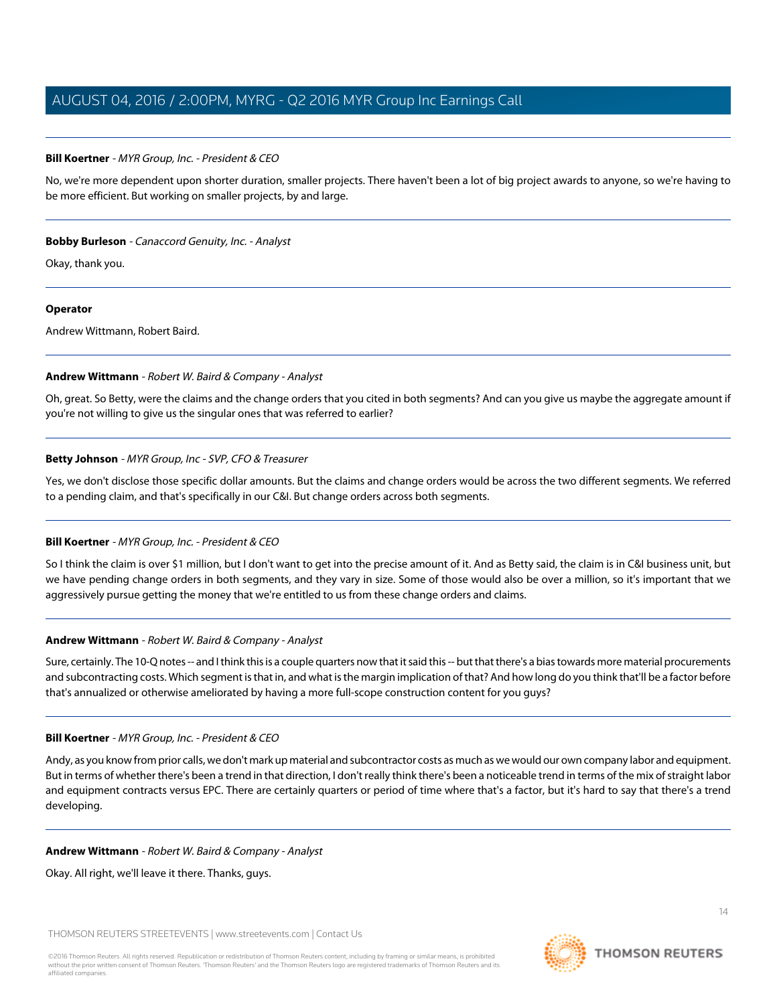#### **Bill Koertner** - MYR Group, Inc. - President & CEO

No, we're more dependent upon shorter duration, smaller projects. There haven't been a lot of big project awards to anyone, so we're having to be more efficient. But working on smaller projects, by and large.

#### **Bobby Burleson** - Canaccord Genuity, Inc. - Analyst

Okay, thank you.

#### **Operator**

<span id="page-13-0"></span>Andrew Wittmann, Robert Baird.

#### **Andrew Wittmann** - Robert W. Baird & Company - Analyst

Oh, great. So Betty, were the claims and the change orders that you cited in both segments? And can you give us maybe the aggregate amount if you're not willing to give us the singular ones that was referred to earlier?

#### **Betty Johnson** - MYR Group, Inc - SVP, CFO & Treasurer

Yes, we don't disclose those specific dollar amounts. But the claims and change orders would be across the two different segments. We referred to a pending claim, and that's specifically in our C&I. But change orders across both segments.

# **Bill Koertner** - MYR Group, Inc. - President & CEO

So I think the claim is over \$1 million, but I don't want to get into the precise amount of it. And as Betty said, the claim is in C&I business unit, but we have pending change orders in both segments, and they vary in size. Some of those would also be over a million, so it's important that we aggressively pursue getting the money that we're entitled to us from these change orders and claims.

# **Andrew Wittmann** - Robert W. Baird & Company - Analyst

Sure, certainly. The 10-Q notes -- and I think this is a couple quarters now that it said this -- but that there's a bias towards more material procurements and subcontracting costs. Which segment is that in, and what is the margin implication of that? And how long do you think that'll be a factor before that's annualized or otherwise ameliorated by having a more full-scope construction content for you guys?

#### **Bill Koertner** - MYR Group, Inc. - President & CEO

Andy, as you know from prior calls, we don't mark up material and subcontractor costs as much as we would our own company labor and equipment. But in terms of whether there's been a trend in that direction, I don't really think there's been a noticeable trend in terms of the mix of straight labor and equipment contracts versus EPC. There are certainly quarters or period of time where that's a factor, but it's hard to say that there's a trend developing.

# **Andrew Wittmann** - Robert W. Baird & Company - Analyst

Okay. All right, we'll leave it there. Thanks, guys.

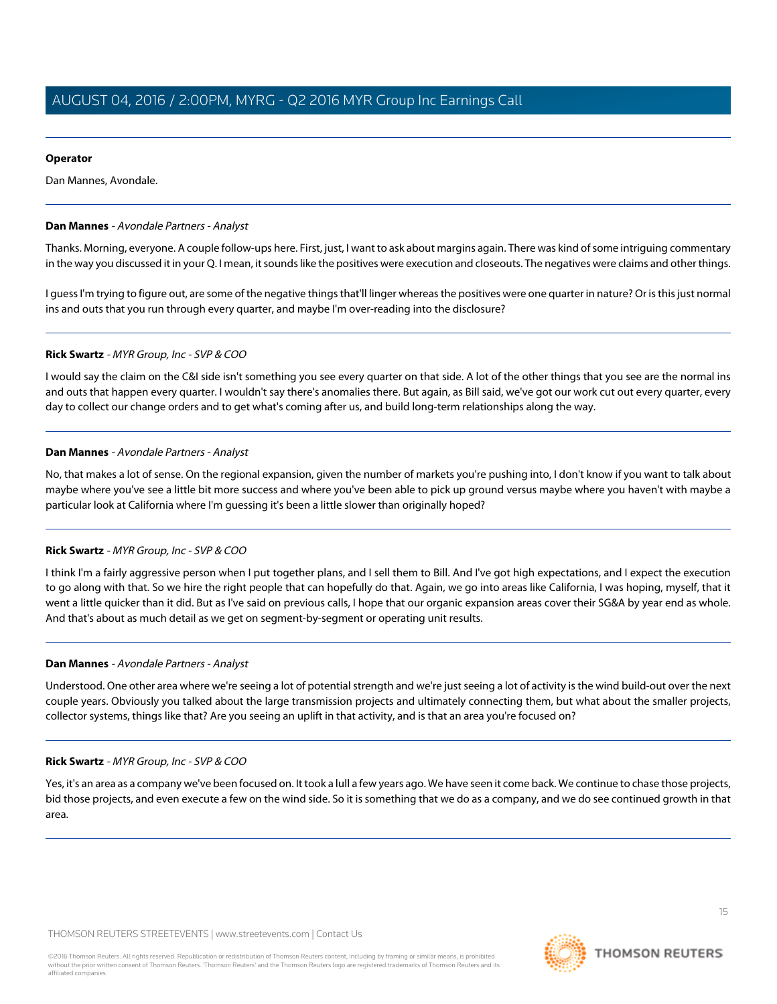#### **Operator**

<span id="page-14-0"></span>Dan Mannes, Avondale.

#### **Dan Mannes** - Avondale Partners - Analyst

Thanks. Morning, everyone. A couple follow-ups here. First, just, I want to ask about margins again. There was kind of some intriguing commentary in the way you discussed it in your Q. I mean, it sounds like the positives were execution and closeouts. The negatives were claims and other things.

I guess I'm trying to figure out, are some of the negative things that'll linger whereas the positives were one quarter in nature? Or is this just normal ins and outs that you run through every quarter, and maybe I'm over-reading into the disclosure?

#### **Rick Swartz** - MYR Group, Inc - SVP & COO

I would say the claim on the C&I side isn't something you see every quarter on that side. A lot of the other things that you see are the normal ins and outs that happen every quarter. I wouldn't say there's anomalies there. But again, as Bill said, we've got our work cut out every quarter, every day to collect our change orders and to get what's coming after us, and build long-term relationships along the way.

#### **Dan Mannes** - Avondale Partners - Analyst

No, that makes a lot of sense. On the regional expansion, given the number of markets you're pushing into, I don't know if you want to talk about maybe where you've see a little bit more success and where you've been able to pick up ground versus maybe where you haven't with maybe a particular look at California where I'm guessing it's been a little slower than originally hoped?

#### **Rick Swartz** - MYR Group, Inc - SVP & COO

I think I'm a fairly aggressive person when I put together plans, and I sell them to Bill. And I've got high expectations, and I expect the execution to go along with that. So we hire the right people that can hopefully do that. Again, we go into areas like California, I was hoping, myself, that it went a little quicker than it did. But as I've said on previous calls, I hope that our organic expansion areas cover their SG&A by year end as whole. And that's about as much detail as we get on segment-by-segment or operating unit results.

#### **Dan Mannes** - Avondale Partners - Analyst

Understood. One other area where we're seeing a lot of potential strength and we're just seeing a lot of activity is the wind build-out over the next couple years. Obviously you talked about the large transmission projects and ultimately connecting them, but what about the smaller projects, collector systems, things like that? Are you seeing an uplift in that activity, and is that an area you're focused on?

#### **Rick Swartz** - MYR Group, Inc - SVP & COO

Yes, it's an area as a company we've been focused on. It took a lull a few years ago. We have seen it come back. We continue to chase those projects, bid those projects, and even execute a few on the wind side. So it is something that we do as a company, and we do see continued growth in that area.

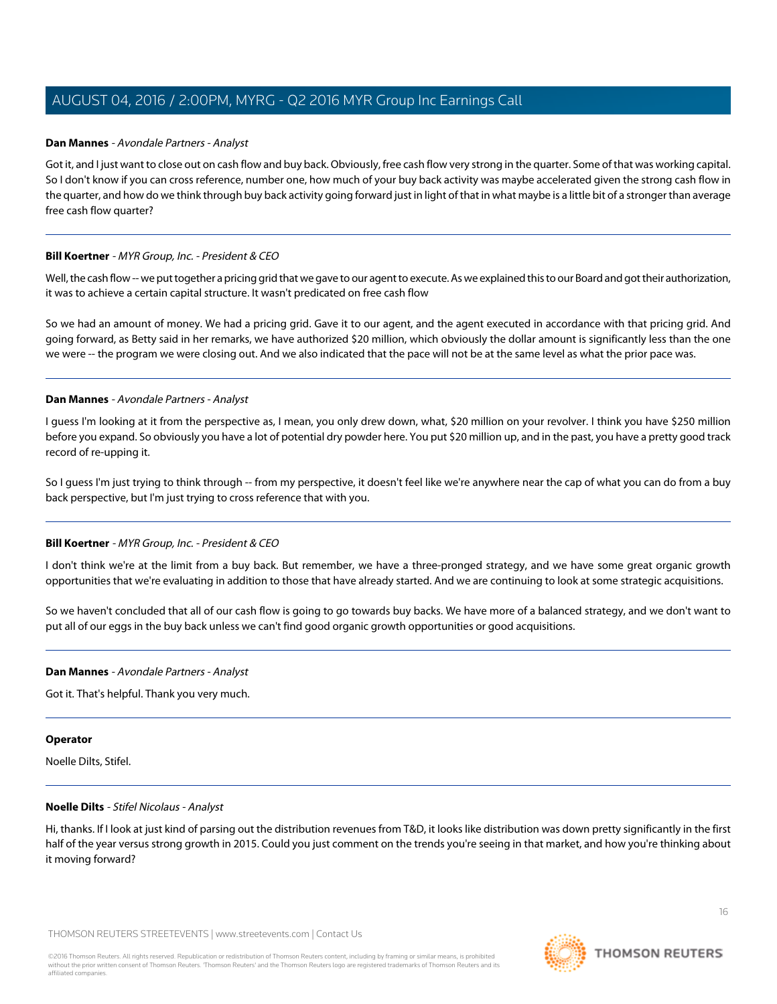#### **Dan Mannes** - Avondale Partners - Analyst

Got it, and I just want to close out on cash flow and buy back. Obviously, free cash flow very strong in the quarter. Some of that was working capital. So I don't know if you can cross reference, number one, how much of your buy back activity was maybe accelerated given the strong cash flow in the quarter, and how do we think through buy back activity going forward just in light of that in what maybe is a little bit of a stronger than average free cash flow quarter?

#### **Bill Koertner** - MYR Group, Inc. - President & CEO

Well, the cash flow -- we put together a pricing grid that we gave to our agent to execute. As we explained this to our Board and got their authorization, it was to achieve a certain capital structure. It wasn't predicated on free cash flow

So we had an amount of money. We had a pricing grid. Gave it to our agent, and the agent executed in accordance with that pricing grid. And going forward, as Betty said in her remarks, we have authorized \$20 million, which obviously the dollar amount is significantly less than the one we were -- the program we were closing out. And we also indicated that the pace will not be at the same level as what the prior pace was.

#### **Dan Mannes** - Avondale Partners - Analyst

I guess I'm looking at it from the perspective as, I mean, you only drew down, what, \$20 million on your revolver. I think you have \$250 million before you expand. So obviously you have a lot of potential dry powder here. You put \$20 million up, and in the past, you have a pretty good track record of re-upping it.

So I guess I'm just trying to think through -- from my perspective, it doesn't feel like we're anywhere near the cap of what you can do from a buy back perspective, but I'm just trying to cross reference that with you.

#### **Bill Koertner** - MYR Group, Inc. - President & CEO

I don't think we're at the limit from a buy back. But remember, we have a three-pronged strategy, and we have some great organic growth opportunities that we're evaluating in addition to those that have already started. And we are continuing to look at some strategic acquisitions.

So we haven't concluded that all of our cash flow is going to go towards buy backs. We have more of a balanced strategy, and we don't want to put all of our eggs in the buy back unless we can't find good organic growth opportunities or good acquisitions.

#### **Dan Mannes** - Avondale Partners - Analyst

Got it. That's helpful. Thank you very much.

#### <span id="page-15-0"></span>**Operator**

Noelle Dilts, Stifel.

#### **Noelle Dilts** - Stifel Nicolaus - Analyst

Hi, thanks. If I look at just kind of parsing out the distribution revenues from T&D, it looks like distribution was down pretty significantly in the first half of the year versus strong growth in 2015. Could you just comment on the trends you're seeing in that market, and how you're thinking about it moving forward?

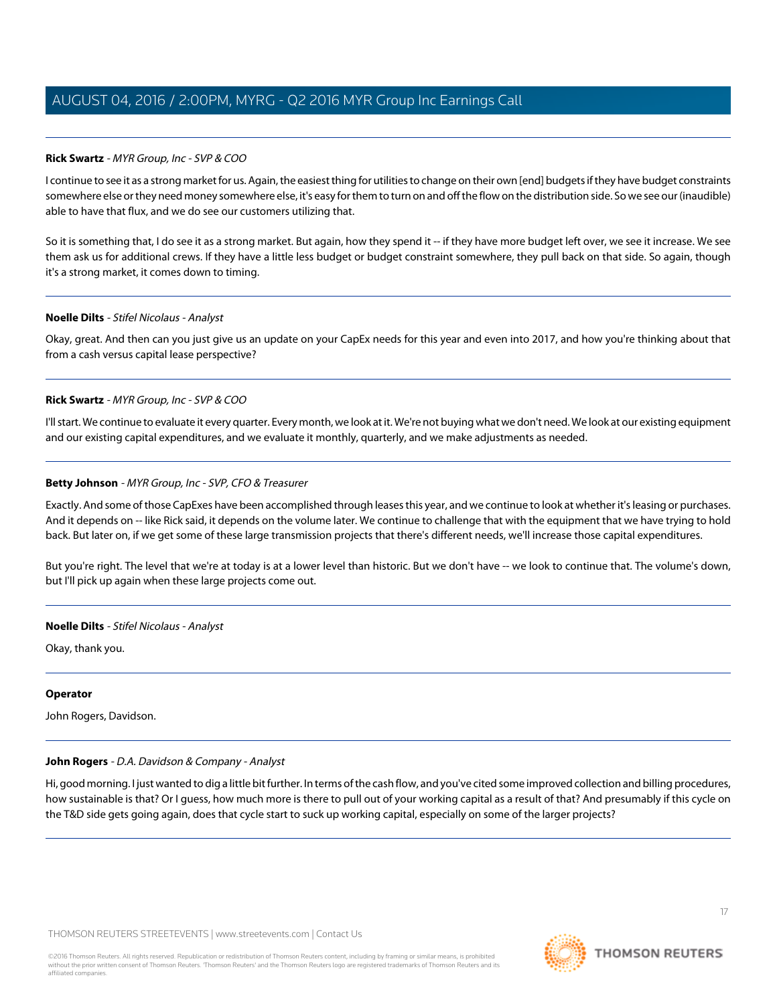### **Rick Swartz** - MYR Group, Inc - SVP & COO

I continue to see it as a strong market for us. Again, the easiest thing for utilities to change on their own [end] budgets if they have budget constraints somewhere else or they need money somewhere else, it's easy for them to turn on and off the flow on the distribution side. So we see our (inaudible) able to have that flux, and we do see our customers utilizing that.

So it is something that, I do see it as a strong market. But again, how they spend it -- if they have more budget left over, we see it increase. We see them ask us for additional crews. If they have a little less budget or budget constraint somewhere, they pull back on that side. So again, though it's a strong market, it comes down to timing.

#### **Noelle Dilts** - Stifel Nicolaus - Analyst

Okay, great. And then can you just give us an update on your CapEx needs for this year and even into 2017, and how you're thinking about that from a cash versus capital lease perspective?

#### **Rick Swartz** - MYR Group, Inc - SVP & COO

I'll start. We continue to evaluate it every quarter. Every month, we look at it. We're not buying what we don't need. We look at our existing equipment and our existing capital expenditures, and we evaluate it monthly, quarterly, and we make adjustments as needed.

#### **Betty Johnson** - MYR Group, Inc - SVP, CFO & Treasurer

Exactly. And some of those CapExes have been accomplished through leases this year, and we continue to look at whether it's leasing or purchases. And it depends on -- like Rick said, it depends on the volume later. We continue to challenge that with the equipment that we have trying to hold back. But later on, if we get some of these large transmission projects that there's different needs, we'll increase those capital expenditures.

But you're right. The level that we're at today is at a lower level than historic. But we don't have -- we look to continue that. The volume's down, but I'll pick up again when these large projects come out.

#### **Noelle Dilts** - Stifel Nicolaus - Analyst

Okay, thank you.

#### <span id="page-16-0"></span>**Operator**

John Rogers, Davidson.

#### **John Rogers** - D.A. Davidson & Company - Analyst

Hi, good morning. I just wanted to dig a little bit further. In terms of the cash flow, and you've cited some improved collection and billing procedures, how sustainable is that? Or I guess, how much more is there to pull out of your working capital as a result of that? And presumably if this cycle on the T&D side gets going again, does that cycle start to suck up working capital, especially on some of the larger projects?



**THOMSON REUTERS**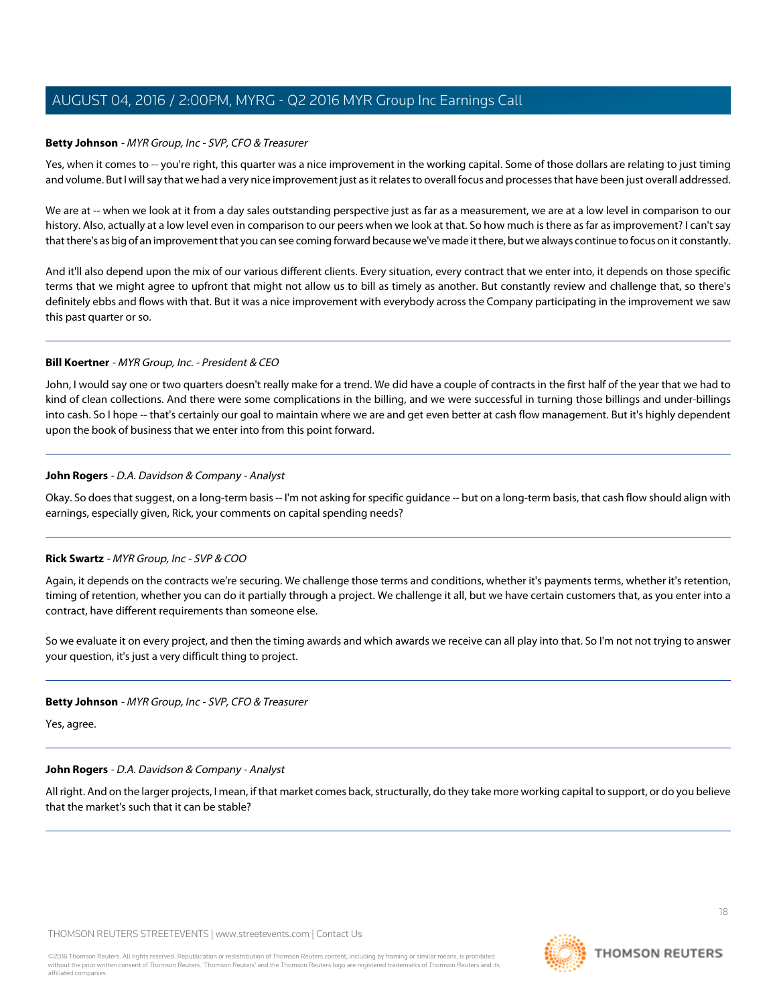#### **Betty Johnson** - MYR Group, Inc - SVP, CFO & Treasurer

Yes, when it comes to -- you're right, this quarter was a nice improvement in the working capital. Some of those dollars are relating to just timing and volume. But I will say that we had a very nice improvement just as it relates to overall focus and processes that have been just overall addressed.

We are at -- when we look at it from a day sales outstanding perspective just as far as a measurement, we are at a low level in comparison to our history. Also, actually at a low level even in comparison to our peers when we look at that. So how much is there as far as improvement? I can't say that there's as big of an improvement that you can see coming forward because we've made it there, but we always continue to focus on it constantly.

And it'll also depend upon the mix of our various different clients. Every situation, every contract that we enter into, it depends on those specific terms that we might agree to upfront that might not allow us to bill as timely as another. But constantly review and challenge that, so there's definitely ebbs and flows with that. But it was a nice improvement with everybody across the Company participating in the improvement we saw this past quarter or so.

#### **Bill Koertner** - MYR Group, Inc. - President & CEO

John, I would say one or two quarters doesn't really make for a trend. We did have a couple of contracts in the first half of the year that we had to kind of clean collections. And there were some complications in the billing, and we were successful in turning those billings and under-billings into cash. So I hope -- that's certainly our goal to maintain where we are and get even better at cash flow management. But it's highly dependent upon the book of business that we enter into from this point forward.

#### **John Rogers** - D.A. Davidson & Company - Analyst

Okay. So does that suggest, on a long-term basis -- I'm not asking for specific guidance -- but on a long-term basis, that cash flow should align with earnings, especially given, Rick, your comments on capital spending needs?

# **Rick Swartz** - MYR Group, Inc - SVP & COO

Again, it depends on the contracts we're securing. We challenge those terms and conditions, whether it's payments terms, whether it's retention, timing of retention, whether you can do it partially through a project. We challenge it all, but we have certain customers that, as you enter into a contract, have different requirements than someone else.

So we evaluate it on every project, and then the timing awards and which awards we receive can all play into that. So I'm not not trying to answer your question, it's just a very difficult thing to project.

#### **Betty Johnson** - MYR Group, Inc - SVP, CFO & Treasurer

Yes, agree.

#### **John Rogers** - D.A. Davidson & Company - Analyst

All right. And on the larger projects, I mean, if that market comes back, structurally, do they take more working capital to support, or do you believe that the market's such that it can be stable?

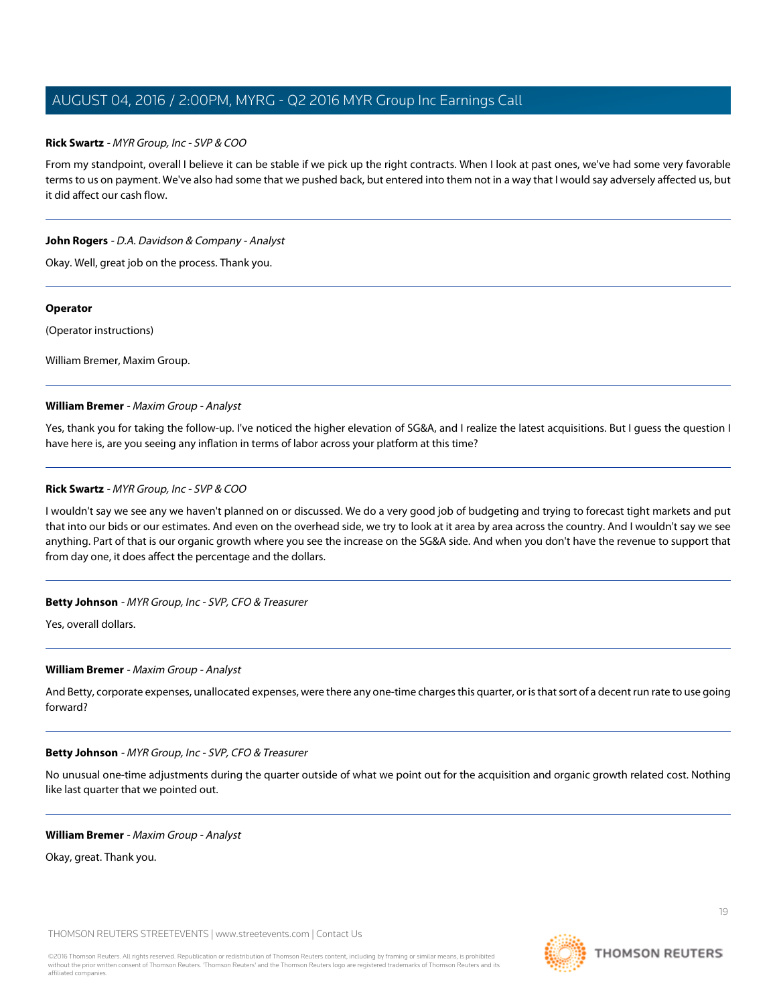#### **Rick Swartz** - MYR Group, Inc - SVP & COO

From my standpoint, overall I believe it can be stable if we pick up the right contracts. When I look at past ones, we've had some very favorable terms to us on payment. We've also had some that we pushed back, but entered into them not in a way that I would say adversely affected us, but it did affect our cash flow.

#### **John Rogers** - D.A. Davidson & Company - Analyst

Okay. Well, great job on the process. Thank you.

#### **Operator**

(Operator instructions)

William Bremer, Maxim Group.

#### **William Bremer** - Maxim Group - Analyst

Yes, thank you for taking the follow-up. I've noticed the higher elevation of SG&A, and I realize the latest acquisitions. But I guess the question I have here is, are you seeing any inflation in terms of labor across your platform at this time?

#### **Rick Swartz** - MYR Group, Inc - SVP & COO

I wouldn't say we see any we haven't planned on or discussed. We do a very good job of budgeting and trying to forecast tight markets and put that into our bids or our estimates. And even on the overhead side, we try to look at it area by area across the country. And I wouldn't say we see anything. Part of that is our organic growth where you see the increase on the SG&A side. And when you don't have the revenue to support that from day one, it does affect the percentage and the dollars.

# **Betty Johnson** - MYR Group, Inc - SVP, CFO & Treasurer

Yes, overall dollars.

#### **William Bremer** - Maxim Group - Analyst

And Betty, corporate expenses, unallocated expenses, were there any one-time charges this quarter, or is that sort of a decent run rate to use going forward?

#### **Betty Johnson** - MYR Group, Inc - SVP, CFO & Treasurer

No unusual one-time adjustments during the quarter outside of what we point out for the acquisition and organic growth related cost. Nothing like last quarter that we pointed out.

#### **William Bremer** - Maxim Group - Analyst

Okay, great. Thank you.

THOMSON REUTERS STREETEVENTS | [www.streetevents.com](http://www.streetevents.com) | [Contact Us](http://www010.streetevents.com/contact.asp)